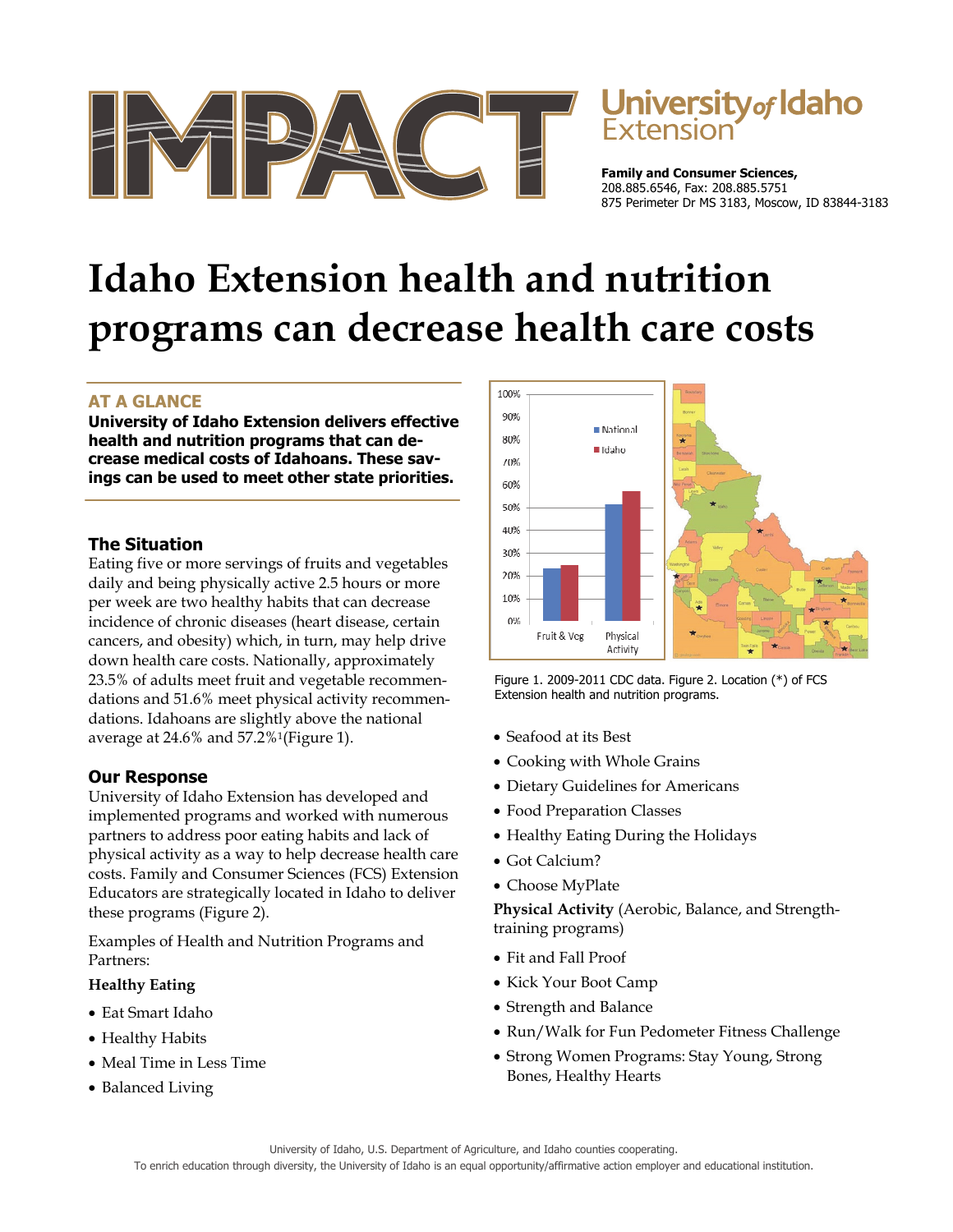



**Family and Consumer Sciences,**  208.885.6546, Fax: 208.885.5751 875 Perimeter Dr MS 3183, Moscow, ID 83844-3183

# **Idaho Extension health and nutrition programs can decrease health care costs**

# **AT A GLANCE**

**University of Idaho Extension delivers effective health and nutrition programs that can decrease medical costs of Idahoans. These savings can be used to meet other state priorities.** 

## **The Situation**

Eating five or more servings of fruits and vegetables daily and being physically active 2.5 hours or more per week are two healthy habits that can decrease incidence of chronic diseases (heart disease, certain cancers, and obesity) which, in turn, may help drive down health care costs. Nationally, approximately 23.5% of adults meet fruit and vegetable recommendations and 51.6% meet physical activity recommendations. Idahoans are slightly above the national average at 24.6% and 57.2%1(Figure 1).

## **Our Response**

University of Idaho Extension has developed and implemented programs and worked with numerous partners to address poor eating habits and lack of physical activity as a way to help decrease health care costs. Family and Consumer Sciences (FCS) Extension Educators are strategically located in Idaho to deliver these programs (Figure 2).

Examples of Health and Nutrition Programs and Partners:

## **Healthy Eating**

- Eat Smart Idaho
- Healthy Habits
- Meal Time in Less Time
- Balanced Living



Figure 1. 2009-2011 CDC data. Figure 2. Location (\*) of FCS Extension health and nutrition programs.

- Seafood at its Best
- Cooking with Whole Grains
- Dietary Guidelines for Americans
- Food Preparation Classes
- Healthy Eating During the Holidays
- Got Calcium?
- Choose MyPlate

**Physical Activity** (Aerobic, Balance, and Strengthtraining programs)

- Fit and Fall Proof
- Kick Your Boot Camp
- Strength and Balance
- Run/Walk for Fun Pedometer Fitness Challenge
- Strong Women Programs: Stay Young, Strong Bones, Healthy Hearts